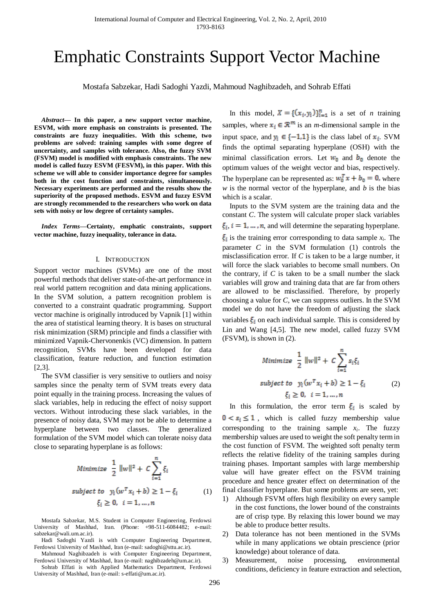# Emphatic Constraints Support Vector Machine

Mostafa Sabzekar, Hadi Sadoghi Yazdi, Mahmoud Naghibzadeh, and Sohrab Effati

*Abstract***— In this paper, a new support vector machine, ESVM, with more emphasis on constraints is presented. The constraints are fuzzy inequalities. With this scheme, two problems are solved: training samples with some degree of uncertainty, and samples with tolerance. Also, the fuzzy SVM (FSVM) model is modified with emphasis constraints. The new model is called fuzzy ESVM (FESVM), in this paper. With this scheme we will able to consider importance degree for samples both in the cost function and constraints, simultaneously. Necessary experiments are performed and the results show the superiority of the proposed methods. ESVM and fuzzy ESVM are strongly recommended to the researchers who work on data sets with noisy or low degree of certainty samples.**

*Index Terms***—Certainty, emphatic constraints, support vector machine, fuzzy inequality, tolerance in data.**

#### I. INTRODUCTION

Support vector machines (SVMs) are one of the most powerful methods that deliver state-of-the-art performance in real world pattern recognition and data mining applications. In the SVM solution, a pattern recognition problem is converted to a constraint quadratic programming. Support vector machine is originally introduced by Vapnik [1] within the area of statistical learning theory. It is bases on structural risk minimization (SRM) principle and finds a classifier with minimized Vapnik-Chervonenkis (VC) dimension. In pattern recognition, SVMs have been developed for data classification, feature reduction, and function estimation [2,3].

The SVM classifier is very sensitive to outliers and noisy samples since the penalty term of SVM treats every data point equally in the training process. Increasing the values of slack variables, help in reducing the effect of noisy support vectors. Without introducing these slack variables, in the presence of noisy data, SVM may not be able to determine a hyperplane between two classes. The generalized formulation of the SVM model which can tolerate noisy data close to separating hyperplane is as follows:

Minimize 
$$
\frac{1}{2} ||w||^2 + C \sum_{i=1}^{n} \xi_i
$$
  
subject to  $y_i (w^T x_i + b) \ge 1 - \xi_i$  (1)  
 $\xi_i \ge 0, i = 1, ..., n$ 

Mostafa Sabzekar, M.S. Student in Computer Engineering, Ferdowsi University of Mashhad, Iran. (Phone: +98-511-6084482; e-mail: sabzekar@wali.um.ac.ir).

Hadi Sadoghi Yazdi is with Computer Engineering Department, Ferdowsi University of Mashhad, Iran (e-mail: sadoghi@sttu.ac.ir).

Mahmoud Naghibzadeh is with Computer Engineering Department, Ferdowsi University of Mashhad, Iran (e-mail: naghibzadeh@um.ac.ir).

Sohrab Effati is with Applied Mathematics Department, Ferdowsi University of Mashhad, Iran (e-mail: s-effati@um.ac.ir).

In this model,  $X = \{(x_i, y_i)\}_{i=1}^n$  is a set of *n* training samples, where  $x_i \in \mathbb{R}^m$  is an *m*-dimensional sample in the input space, and  $y_i \in \{-1,1\}$  is the class label of  $x_i$ . SVM finds the optimal separating hyperplane (OSH) with the minimal classification errors. Let  $w_0$  and  $b_0$  denote the optimum values of the weight vector and bias, respectively. The hyperplane can be represented as:  $w_0^T x + b_0 = 0$ , where  $w$  is the normal vector of the hyperplane, and  $b$  is the bias which is a scalar.

Inputs to the SVM system are the training data and the constant *C*. The system will calculate proper slack variables  $\xi_i$ ,  $i = 1, ..., n$ , and will determine the separating hyperplane. is the training error corresponding to data sample  $x_i$ . The parameter *C* in the SVM formulation (1) controls the misclassification error. If *C* is taken to be a large number, it will force the slack variables to become small numbers. On the contrary, if *C* is taken to be a small number the slack variables will grow and training data that are far from others are allowed to be misclassified. Therefore, by properly choosing a value for *C*, we can suppress outliers. In the SVM model we do not have the freedom of adjusting the slack variables  $\xi_i$  on each individual sample. This is considered by Lin and Wang [4,5]. The new model, called fuzzy SVM (FSVM), is shown in (2).

Minimize 
$$
\frac{1}{2} ||w||^2 + C \sum_{i=1}^{n} s_i \xi_i
$$
  
subject to  $y_i (w^T x_i + b) \ge 1 - \xi_i$  (2)  
 $\xi_i \ge 0, i = 1, ..., n$ 

In this formulation, the error term  $\xi_i$  is scaled by  $0 < s_i \leq 1$ , which is called fuzzy membership value corresponding to the training sample  $x_i$ . The fuzzy membership values are used to weight the soft penalty term in the cost function of FSVM. The weighted soft penalty term reflects the relative fidelity of the training samples during training phases. Important samples with large membership value will have greater effect on the FSVM training procedure and hence greater effect on determination of the final classifier hyperplane. But some problems are seen, yet:

- 1) Although FSVM offers high flexibility on every sample in the cost functions, the lower bound of the constraints are of crisp type. By relaxing this lower bound we may be able to produce better results.
- 2) Data tolerance has not been mentioned in the SVMs while in many applications we obtain prescience (prior knowledge) about tolerance of data.
- 3) Measurement, noise processing, environmental conditions, deficiency in feature extraction and selection,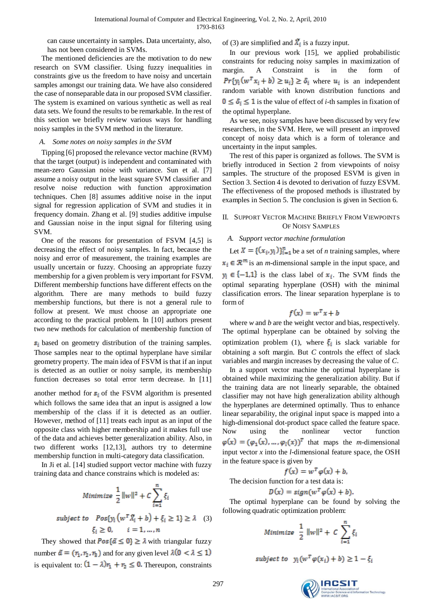can cause uncertainty in samples. Data uncertainty, also, has not been considered in SVMs.

The mentioned deficiencies are the motivation to do new research on SVM classifier. Using fuzzy inequalities in constraints give us the freedom to have noisy and uncertain samples amongst our training data. We have also considered the case of nonseparable data in our proposed SVM classifier. The system is examined on various synthetic as well as real data sets. We found the results to be remarkable. In the rest of this section we briefly review various ways for handling noisy samples in the SVM method in the literature.

## *A. Some notes on noisy samples in the SVM*

Tipping [6] proposed the relevance vector machine (RVM) that the target (output) is independent and contaminated with mean-zero Gaussian noise with variance. Sun et al. [7] assume a noisy output in the least square SVM classifier and resolve noise reduction with function approximation techniques. Chen [8] assumes additive noise in the input signal for regression application of SVM and studies it in frequency domain. Zhang et al. [9] studies additive impulse and Gaussian noise in the input signal for filtering using SVM.

One of the reasons for presentation of FSVM [4,5] is decreasing the effect of noisy samples. In fact, because the noisy and error of measurement, the training examples are usually uncertain or fuzzy. Choosing an appropriate fuzzy membership for a given problem is very important for FSVM. Different membership functions have different effects on the algorithm. There are many methods to build fuzzy membership functions, but there is not a general rule to follow at present. We must choose an appropriate one according to the practical problem. In [10] authors present two new methods for calculation of membership function of

 $s_i$  based on geometry distribution of the training samples. Those samples near to the optimal hyperplane have similar geometry property. The main idea of FSVM is that if an input is detected as an outlier or noisy sample, its membership function decreases so total error term decrease. In [11]

another method for  $s_i$  of the FSVM algorithm is presented which follows the same idea that an input is assigned a low membership of the class if it is detected as an outlier. However, method of [11] treats each input as an input of the opposite class with higher membership and it makes full use of the data and achieves better generalization ability. Also, in two different works [12,13], authors try to determine membership function in multi-category data classification.

In Ji et al. [14] studied support vector machine with fuzzy training data and chance constrains which is modeled as:

Minimize 
$$
\frac{1}{2} ||w||^2 + C \sum_{i=1}^{n} \xi_i
$$
  
subject to  $Pos\{y_i(w^T \hat{X}_i + b) + \xi_i \ge 1\} \ge \lambda$  (3)  
 $\xi_i \ge 0, \quad i = 1, ..., n$ 

They showed that  $Pos\{\tilde{a} \leq 0\} \geq \lambda$  with triangular fuzzy number  $\tilde{a} = (r_1, r_2, r_3)$  and for any given level  $\lambda(0 < \lambda \le 1)$ is equivalent to:  $(1 - \lambda)r_1 + r_2 \leq 0$ . Thereupon, constraints

of (3) are simplified and  $\overline{X}_i$  is a fuzzy input.

In our previous work [15], we applied probabilistic constraints for reducing noisy samples in maximization of margin. A Constraint is in the form of  $Pr{y_i(w^T x_i + b) \ge u_i} \ge \delta_i$  where  $u_i$  is an independent random variable with known distribution functions and  $0 \leq \delta_i \leq 1$  is the value of effect of *i*-th samples in fixation of the optimal hyperplane.

As we see, noisy samples have been discussed by very few researchers, in the SVM. Here, we will present an improved concept of noisy data which is a form of tolerance and uncertainty in the input samples.

The rest of this paper is organized as follows. The SVM is briefly introduced in Section 2 from viewpoints of noisy samples. The structure of the proposed ESVM is given in Section 3. Section 4 is devoted to derivation of fuzzy ESVM. The effectiveness of the proposed methods is illustrated by examples in Section 5. The conclusion is given in Section 6.

# II. SUPPORT VECTOR MACHINE BRIEFLY FROM VIEWPOINTS OF NOISY SAMPLES

# *A. Support vector machine formulation*

Let  $X = \{ (x_i, y_i) \}_{i=1}^n$  be a set of *n* training samples, where  $x_i \in \mathbb{R}^m$  is an *m*-dimensional sample in the input space, and  $y_i \in \{-1,1\}$  is the class label of  $x_i$ . The SVM finds the optimal separating hyperplane (OSH) with the minimal classification errors. The linear separation hyperplane is to form of

$$
f(x) = w^T x + b
$$

where *w* and *b* are the weight vector and bias, respectively. The optimal hyperplane can be obtained by solving the optimization problem (1), where  $\xi_i$  is slack variable for obtaining a soft margin. But *C* controls the effect of slack variables and margin increases by decreasing the value of *C*.

In a support vector machine the optimal hyperplane is obtained while maximizing the generalization ability. But if the training data are not linearly separable, the obtained classifier may not have high generalization ability although the hyperplanes are determined optimally. Thus to enhance linear separability, the original input space is mapped into a high-dimensional dot-product space called the feature space. Now using the nonlinear vector function  $\varphi(x) = (\varphi_1(x), \dots, \varphi_l(x))^T$  that maps the *m*-dimensional input vector *x* into the *l*-dimensional feature space, the OSH in the feature space is given by

$$
f(x) = w^T \varphi(x) + b,
$$

The decision function for a test data is:

$$
D(x) = sign(w^T \varphi(x) + b).
$$

The optimal hyperplane can be found by solving the following quadratic optimization problem:

$$
Minimize \quad \frac{1}{2} \parallel w \parallel^{2} + C \sum_{i=1}^{n} \xi_{i}
$$

subject to  $y_i(w^T \varphi(x_i) + b) \geq 1 - \xi_i$ 

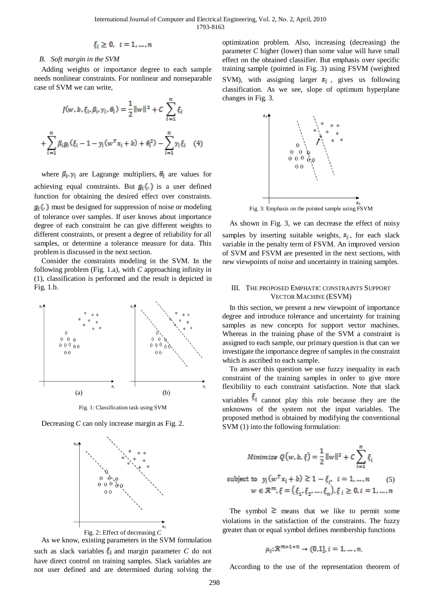$$
\xi_i\geq 0, \ i=1,\ldots,n
$$

#### *B. Soft margin in the SVM*

Adding weights or importance degree to each sample needs nonlinear constraints. For nonlinear and nonseparable case of SVM we can write,

$$
J(w, b, \xi_i, \beta_i, \gamma_i, \theta_i) = \frac{1}{2} ||w||^2 + C \sum_{i=1}^n \xi_i
$$
  
+ 
$$
\sum_{i=1}^n \beta_i g_i (\xi_i - 1 - y_i (w^T x_i + b) + \theta_i^2) - \sum_{i=1}^n \gamma_i \xi_i
$$
 (4)

where  $\beta_i$ ,  $\gamma_i$  are Lagrange multipliers,  $\theta_i$  are values for achieving equal constraints. But  $g_i(.)$  is a user defined function for obtaining the desired effect over constraints.  $g_i(.)$  must be designed for suppression of noise or modeling of tolerance over samples. If user knows about importance degree of each constraint he can give different weights to different constraints, or present a degree of reliability for all samples, or determine a tolerance measure for data. This problem is discussed in the next section.

Consider the constraints modeling in the SVM. In the following problem (Fig. 1.a), with *C* approaching infinity in (1), classification is performed and the result is depicted in Fig. 1.b.



Fig. 1: Classification task using SVM

Decreasing *C* can only increase margin as Fig. 2.



As we know, existing parameters in the SVM formulation such as slack variables  $\xi_i$  and margin parameter *C* do not have direct control on training samples. Slack variables are not user defined and are determined during solving the

optimization problem. Also, increasing (decreasing) the parameter *C* higher (lower) than some value will have small effect on the obtained classifier. But emphasis over specific training sample (pointed in Fig. 3) using FSVM (weighted SVM), with assigning larger  $s_i$ , gives us following classification. As we see, slope of optimum hyperplane changes in Fig. 3.



Fig. 3: Emphasis on the pointed sample using FSVM

As shown in Fig. 3, we can decrease the effect of noisy samples by inserting suitable weights,  $s_i$ , for each slack variable in the penalty term of FSVM. An improved version of SVM and FSVM are presented in the next sections, with new viewpoints of noise and uncertainty in training samples.

## III. THE PROPOSED EMPHATIC CONSTRAINTS SUPPORT VECTOR MACHINE (ESVM)

In this section, we present a new viewpoint of importance degree and introduce tolerance and uncertainty for training samples as new concepts for support vector machines. Whereas in the training phase of the SVM a constraint is assigned to each sample, our primary question is that can we investigate the importance degree of samples in the constraint which is ascribed to each sample.

To answer this question we use fuzzy inequality in each constraint of the training samples in order to give more flexibility to each constraint satisfaction. Note that slack variables  $\xi_i$  cannot play this role because they are the unknowns of the system not the input variables. The proposed method is obtained by modifying the conventional SVM (1) into the following formulation:

Minimize 
$$
Q(w, b, \xi) = \frac{1}{2} ||w||^2 + C \sum_{i=1}^{n} \xi_i
$$
  
subject to  $y_i (w^T x_i + b) \ge 1 - \xi_i$ ,  $i = 1, ..., n$  (5)  
 $w \in \mathbb{R}^m, \xi = (\xi_1, \xi_2, ..., \xi_n), \xi_i \ge 0, i = 1, ..., n$ 

The symbol  $\geq$  means that we like to permit some violations in the satisfaction of the constraints. The fuzzy greater than or equal symbol defines membership functions

$$
\mu_i \colon \mathcal{R}^{m+1+n} \to (0,1], i=1,\ldots,n
$$

According to the use of the representation theorem of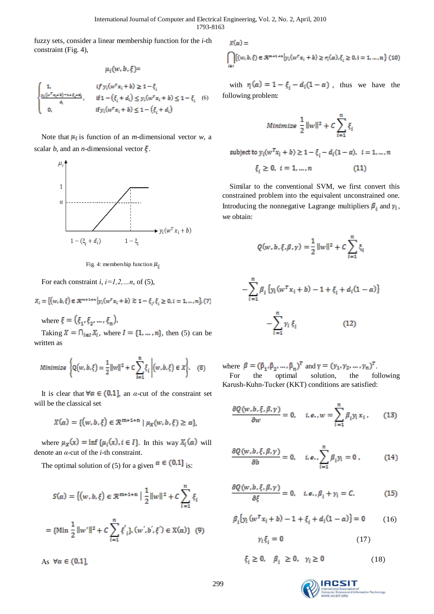fuzzy sets, consider a linear membership function for the *i*-th constraint (Fig. 4),

$$
u_i(w,b,\xi) =
$$

I

$$
\begin{aligned}\n1, & if \ y_i(w^\top x_i + b) \ge 1 - \xi_i \\
\frac{y_i(w^\top x_i + b) - 1 + \xi_i + d_i}{d_i}, & if \ 1 - \left(\xi_i + d_i\right) \le y_i(w^\top x_i + b) \le 1 - \xi_i \\
0, & if \ y_i(w^\top x_i + b) \le 1 - \left(\xi_i + d_i\right)\n\end{aligned}
$$
\n(6)

Note that  $\mu_i$  is function of an *m*-dimensional vector *w*, a scalar *b*, and an *n*-dimensional vector  $\xi$ .



Fig. 4: membership function  $\mu_i$ 

For each constraint *i*, *i=1,2,…n*, of (5),

$$
X_i = \{ (w, b, \xi) \in \mathcal{R}^{m+1+n} \mid y_i(w^{\mathrm{T}} x_i + b) \gtrsim 1 - \xi_i, \xi_i \ge 0, i = 1, ..., n \}, (7)
$$

where  $\xi = (\xi_1, \xi_2, ..., \xi_n)$ .

Taking  $X = \bigcap_{i \in I} X_i$ , where  $I = \{1, ..., n\}$ , then (5) can be written as

$$
Minimize \ \Bigg\{Q\big(w,b,\xi\big)=\frac{1}{2}\|w\|^2+C\sum_{i=1}^n\xi_i\ \Bigg|\big(w,b,\xi\big)\in X\Bigg\}.\quad \ \ (8)
$$

It is clear that  $\forall \alpha \in (0,1]$ , an *α*-cut of the constraint set will be the classical set

$$
X(\alpha)=\{(w,b,\xi)\in \mathcal{R}^{\mathfrak{m}+1+\mathfrak{n}}\mid \mu_X(w,b,\xi)\geq \alpha\},
$$

where  $\mu_X(x) = \inf \{ \mu_i(x), i \in I \}$ . In this way  $X_i(\alpha)$  will denote an *α*-cut of the *i*-th constraint.

The optimal solution of (5) for a given  $\alpha \in (0,1]$  is:

$$
S(\alpha) = \{ (w, b, \xi) \in \mathcal{R}^{m+1+n} \mid \frac{1}{2} ||w||^2 + C \sum_{i=1}^n \xi_i
$$
  
= {Min  $\frac{1}{2}$  ||w'||<sup>2</sup> + C  $\sum_{i=1}^n \xi'_i$ }, (w', b',  $\xi'$ )  $\in$  X( $\alpha$ )} (9)

As  $\forall \alpha \in (0,1]$ ,

 $X(\alpha) =$ 

$$
\bigcap_{i \in I} \{ (w, b, \xi) \in \mathcal{R}^{m+1+n} \big| y_i (w^{\tau} x_i + b) \ge r_i(\alpha), \xi_i \ge 0, i = 1, ..., n \} (10)
$$

with  $r_i(\alpha) = 1 - \xi_i - d_i(1 - \alpha)$ , thus we have the following problem:

$$
Minimize \ \frac{1}{2} ||w||^2 + C \sum_{i=1}^n \xi_i
$$

subject to  $y_i(w^T x_i + b) \ge 1 - \xi_i - d_i(1 - a), i = 1, ..., n$  $\xi_i \geq 0, i = 1, ..., n$  $(11)$ 

Similar to the conventional SVM, we first convert this constrained problem into the equivalent unconstrained one. Introducing the nonnegative Lagrange multipliers  $\beta_i$  and  $\gamma_i$ , we obtain:

$$
Q(w,b,\xi,\beta,\gamma)=\frac{1}{2}\|w\|^2+C\sum_{i=1}^n\xi_i
$$

$$
-\sum_{i=1}^{n} \beta_i \{y_i(w^T x_i + b) - 1 + \xi_i + d_i(1 - \alpha)\}\
$$

$$
-\sum_{i=1}^{n} \gamma_i \xi_i
$$
(12)

where  $\beta = (\beta_1, \beta_2, ..., \beta_n)^T$  and  $\gamma = (\gamma_1, \gamma_2, ..., \gamma_n)^T$ . For the optimal solution, the following Karush-Kuhn-Tucker (KKT) conditions are satisfied:

$$
\frac{\partial Q(w, b, \xi, \beta, \gamma)}{\partial w} = 0, \quad i, e, w = \sum_{i=1}^{n} \beta_i y_i x_i, \quad (13)
$$

$$
\frac{\partial Q(w, b, \xi, \beta, \gamma)}{\partial b} = 0, \quad i. e., \sum_{i=1}^{n} \beta_i y_i = 0, \quad (14)
$$

$$
\frac{\partial Q(w, b, \xi, \beta, \gamma)}{\partial \xi} = 0, \quad i. e., \beta_i + \gamma_i = C. \tag{15}
$$

$$
\beta_i \{ y_i (w^T x_i + b) - 1 + \xi_i + d_i (1 - \alpha) \} = 0 \tag{16}
$$

$$
\gamma_i \xi_i = 0 \tag{17}
$$

$$
\xi_i \ge 0, \quad \beta_i \ge 0, \quad \gamma_i \ge 0 \tag{18}
$$

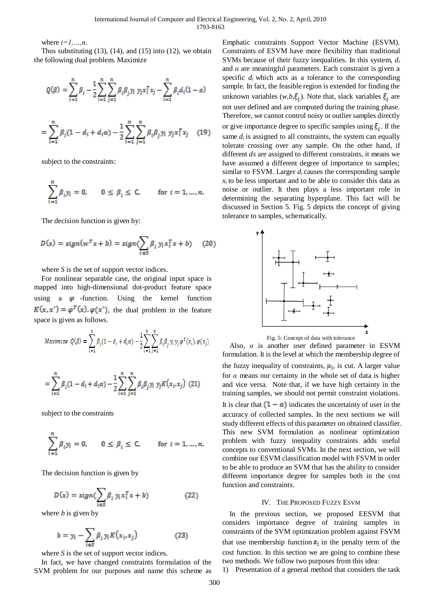where  $i=1,...,n$ .

Thus substituting  $(13)$ ,  $(14)$ , and  $(15)$  into  $(12)$ , we obtain the following dual problem. Maximize

$$
Q(\beta) = \sum_{i=1}^n \beta_i - \frac{1}{2} \sum_{i=1}^n \sum_{j=1}^n \beta_i \beta_j y_i \; y_j x_i^T x_j - \sum_{i=1}^n \beta_i d_i (1-\alpha)
$$

$$
= \sum_{i=1}^{n} \beta_i (1 - d_i + d_i \alpha) - \frac{1}{2} \sum_{i=1}^{n} \sum_{j=1}^{n} \beta_i \beta_j y_i y_j x_i^T x_j \quad (19)
$$

subject to the constraints:

$$
\sum_{i=1}^n \beta_i y_i = 0, \qquad 0 \le \beta_i \le C, \qquad \text{for } i = 1, \ldots, n.
$$

The decision function is given by:

$$
D(x) = sign(w^T x + b) = sign(\sum_{i \in S} \beta_i y_i x_i^T x + b) \quad (20)
$$

where *S* is the set of support vector indices.

For nonlinear separable case, the original input space is mapped into high-dimensional dot-product feature space using a  $\varphi$  -function. Using the kernel function  $K(x, x') = \varphi^{T}(x) \cdot \varphi(x')$ , the dual problem in the feature space is given as follows.

$$
Maximize \ Q(\beta) = \sum_{i=1}^n \beta_i (1-d_i+d_i\alpha) - \frac{1}{2} \sum_{i=1}^n \sum_{j=1}^n \beta_i \beta_j \gamma_i \gamma_j \varphi^T(x_i). \varphi(x_j)
$$

$$
= \sum_{i=1}^{n} \beta_i (1 - d_i + d_i \alpha) - \frac{1}{2} \sum_{i=1}^{n} \sum_{j=1}^{n} \beta_i \beta_j y_i y_j K(x_i, x_j)
$$
 (21)

subject to the constraints

$$
\sum_{i=1}^n \beta_i y_i = 0, \qquad 0 \leq \beta_i \leq C, \qquad \text{ for } i=1,\ldots,n.
$$

The decision function is given by

$$
D(x) = sign(\sum_{i \in S} \beta_i y_i x_i^T x + b)
$$
 (22)

where *b* is given by

$$
b = y_i - \sum_{i \in S} \beta_i y_i K(x_i, x_j)
$$
 (23)

where *S* is the set of support vector indices.

In fact, we have changed constraints formulation of the SVM problem for our purposes and name this scheme as

Emphatic constraints Support Vector Machine (ESVM). Constraints of ESVM have more flexibility than traditional SVMs because of their fuzzy inequalities. In this system, *d<sup>i</sup>* and *α* are meaningful parameters. Each constraint is given a specific  $d_i$  which acts as a tolerance to the corresponding sample. In fact, the feasible region is extended for finding the unknown variables  $(w, b, \xi_i)$ . Note that, slack variables  $\xi_i$  are not user defined and are computed during the training phase. Therefore, we cannot control noisy or outlier samples directly or give importance degree to specific samples using  $\xi_i$ . If the same  $d_i$  is assigned to all constraints, the system can equally tolerate crossing over any sample. On the other hand, if different *ds* are assigned to different constraints, it means we have assumed a different degree of importance to samples; similar to FSVM. Larger  $d_i$  causes the corresponding sample  $x_i$  to be less important and to be able to consider this data as noise or outlier. It then plays a less important role in determining the separating hyperplane. This fact will be discussed in Section 5. Fig. 5 depicts the concept of giving tolerance to samples, schematically.



Also,  $\alpha$  is another user defined parameter in ESVM formulation. It is the level at which the membership degree of the fuzzy inequality of constraints,  $\mu_i$ , is cut. A larger value for *α* means our certainty in the whole set of data is higher and vice versa. Note that, if we have high certainty in the training samples, we should not permit constraint violations. It is clear that  $(1 - \alpha)$  indicates the uncertainty of user in the accuracy of collected samples. In the next sections we will study different effects of this parameter on obtained classifier. This new SVM formulation as nonlinear optimization problem with fuzzy inequality constraints adds useful concepts to conventional SVMs. In the next section, we will combine our ESVM classification model with FSVM in order to be able to produce an SVM that has the ability to consider different importance degree for samples both in the cost function and constraints.

# IV. THE PROPOSED FUZZY ESVM

In the previous section, we proposed EESVM that considers importance degree of training samples in constraints of the SVM optimization problem against FSVM that use membership function  $s_i$  in the penalty term of the cost function. In this section we are going to combine these two methods. We follow two purposes from this idea:

1) Presentation of a general method that considers the task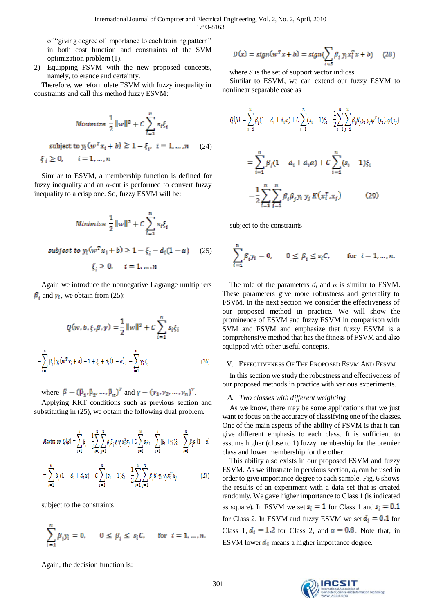of "giving degree of importance to each training pattern" in both cost function and constraints of the SVM optimization problem (1).

2) Equipping FSVM with the new proposed concepts, namely, tolerance and certainty.

Therefore, we reformulate FSVM with fuzzy inequality in constraints and call this method fuzzy ESVM:

$$
Minimize \frac{1}{2} ||w||^2 + C \sum_{i=1}^n s_i \xi_i
$$
  
subject to  $y_i (w^T x_i + b) \ge 1 - \xi_i$ ,  $i = 1, ..., n$  (24)  
 $\xi_i \ge 0$ ,  $i = 1, ..., n$ 

Similar to ESVM, a membership function is defined for fuzzy inequality and an  $\alpha$ -cut is performed to convert fuzzy inequality to a crisp one. So, fuzzy ESVM will be:

$$
Minimize \frac{1}{2} ||w||^2 + C \sum_{i=1}^{n} s_i \xi_i
$$
  
subject to  $y_i (w^T x_i + b) \ge 1 - \xi_i - d_i (1 - \alpha)$  (25)  
 $\xi_i \ge 0, \quad i = 1, ..., n$ 

Again we introduce the nonnegative Lagrange multipliers  $\beta_i$  and  $\gamma_i$ , we obtain from (25):

$$
Q(w, b, \xi, \beta, \gamma) = \frac{1}{2} ||w||^2 + C \sum_{i=1}^{n} s_i \xi_i
$$

$$
\sum_{i=1}^{n} \beta_i \{ y_i (w^T x_i + b) - 1 + \xi_i + d_i (1 - a) \} - \sum_{i=1}^{n} \gamma_i \xi_i
$$
(26)

where  $\beta = (\beta_1, \beta_2, ..., \beta_n)^T$  and  $\gamma = (\gamma_1, \gamma_2, ..., \gamma_n)^T$ .

Applying KKT conditions such as previous section and substituting in (25), we obtain the following dual problem.

$$
\begin{split} \textit{Maximize}\;\; Q(\beta) &= \sum_{i=1}^{n} \beta_i - \frac{1}{2} \sum_{i=1}^{n} \sum_{j=1}^{n} \beta_i \beta_j y_i y_j x_i^T x_j + C \sum_{i=1}^{n} s_i \xi_i - \sum_{i=1}^{n} (\beta_i + \gamma_i) \xi_i - \sum_{i=1}^{n} \beta_i d_i (1 - \alpha) \\ &= \sum_{i=1}^{n} \beta_i (1 - d_i + d_i \alpha) + C \sum_{i=1}^{n} (s_i - 1) \xi_i - \frac{1}{2} \sum_{i=1}^{n} \sum_{j=1}^{n} \beta_i \beta_j y_i y_j x_i^T x_j \end{split} \tag{27}
$$

subject to the constraints

$$
\sum_{i=1}^n \beta_i y_i = 0, \qquad 0 \leq \beta_i \leq \, s_iC, \qquad \text{for } \, i=1,\ldots,n.
$$

$$
D(x) = sign(w^T x + b) = sign(\sum_{i \in S} \beta_i y_i x_i^T x + b) \quad (28)
$$

where *S* is the set of support vector indices.

Similar to ESVM, we can extend our fuzzy ESVM to nonlinear separable case as

$$
Q(\beta) = \sum_{i=1}^{n} \beta_i (1 - d_i + d_i \alpha) + C \sum_{i=1}^{n} (s_i - 1) \xi_i - \frac{1}{2} \sum_{i=1}^{n} \sum_{j=1}^{n} \beta_i \beta_j y_i y_j \varphi^{T}(x_i) \varphi(x_j)
$$
  

$$
= \sum_{i=1}^{n} \beta_i (1 - d_i + d_i \alpha) + C \sum_{i=1}^{n} (s_i - 1) \xi_i
$$
  

$$
- \frac{1}{2} \sum_{i=1}^{n} \sum_{j=1}^{n} \beta_i \beta_j y_i y_j K(x_i^{T}, x_j)
$$
(29)

subject to the constraints

$$
\sum_{i=1}^n \beta_i y_i = 0, \quad 0 \le \beta_i \le s_i C, \quad \text{for } i = 1, \dots, n.
$$

The role of the parameters  $d_i$  and  $\alpha$  is similar to ESVM. These parameters give more robustness and generality to FSVM. In the next section we consider the effectiveness of our proposed method in practice. We will show the prominence of ESVM and fuzzy ESVM in comparison with SVM and FSVM and emphasize that fuzzy ESVM is a comprehensive method that has the fitness of FSVM and also equipped with other useful concepts.

## V. EFFECTIVENESS OF THE PROPOSED ESVM AND FESVM

In this section we study the robustness and effectiveness of our proposed methods in practice with various experiments.

## *A. Two classes with different weighting*

As we know, there may be some applications that we just want to focus on the accuracy of classifying one of the classes. One of the main aspects of the ability of FSVM is that it can give different emphasis to each class. It is sufficient to assume higher (close to 1) fuzzy membership for the premier class and lower membership for the other.

This ability also exists in our proposed ESVM and fuzzy ESVM. As we illustrate in pervious section, *d<sup>i</sup>* can be used in order to give importance degree to each sample. Fig. 6 shows the results of an experiment with a data set that is created randomly. We gave higher importance to Class 1 (is indicated as square). In FSVM we set  $s_i = 1$  for Class 1 and  $s_i = 0.1$ for Class 2. In ESVM and fuzzy ESVM we set  $d_i = 0.1$  for Class 1,  $d_i = 1.2$  for Class 2, and  $\alpha = 0.8$ . Note that, in ESVM lower  $\mathbf{d}_i$  means a higher importance degree.

Again, the decision function is:

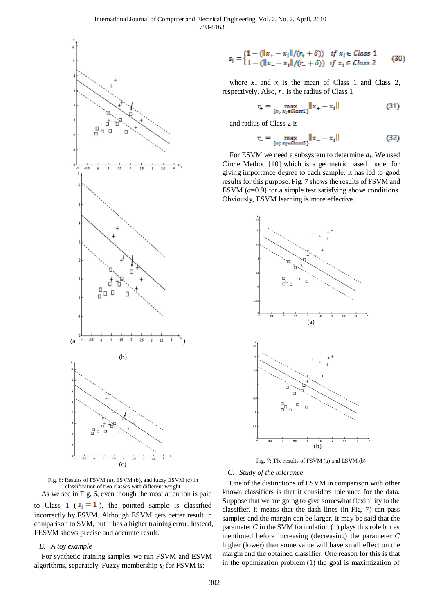

Fig. 6: Results of FSVM (a), ESVM (b), and fuzzy ESVM (c) in classification of two classes with different weight

As we see in Fig. 6, even though the most attention is paid to Class 1 ( $s_i = 1$ ), the pointed sample is classified incorrectly by FSVM. Although ESVM gets better result in comparison to SVM, but it has a higher training error. Instead, FESVM shows precise and accurate result.

## *B. A toy example*

For synthetic training samples we run FSVM and ESVM algorithms, separately. Fuzzy membership  $s_i$  for FSVM is:

$$
s_i = \begin{cases} 1 - (\|x_+ - x_i\|/(r_+ + \delta)) & \text{if } x_i \in Class\ 1 \\ 1 - (\|x_- - x_i\|/(r_+ + \delta)) & \text{if } x_i \in Class\ 2 \end{cases} \tag{30}
$$

where  $x_+$  and  $x_-$  is the mean of Class 1 and Class 2, respectively. Also,  $r_+$  is the radius of Class 1

$$
L_{+} = \max_{\{x_i: x_i \in Class1\}} \|x_+ - x_i\| \tag{31}
$$

and radius of Class 2 is

ż

 $\boldsymbol{r}$ 

$$
L = \max_{\{x_i : x_i \in \text{Class 2}\}} \|x_{-} - x_i\| \tag{32}
$$

For ESVM we need a subsystem to determine *d<sup>i</sup>* . We used Circle Method [10] which is a geometric based model for giving importance degree to each sample. It has led to good results for this purpose. Fig. 7 shows the results of FSVM and ESVM  $(\alpha=0.9)$  for a simple test satisfying above conditions. Obviously, ESVM learning is more effective.



Fig. 7: The results of FSVM (a) and ESVM (b)

#### *C. Study of the tolerance*

One of the distinctions of ESVM in comparison with other known classifiers is that it considers tolerance for the data. Suppose that we are going to give somewhat flexibility to the classifier. It means that the dash lines (in Fig. 7) can pass samples and the margin can be larger. It may be said that the parameter *C* in the SVM formulation (1) plays this role but as mentioned before increasing (decreasing) the parameter *C*  higher (lower) than some value will have small effect on the margin and the obtained classifier. One reason for this is that in the optimization problem (1) the goal is maximization of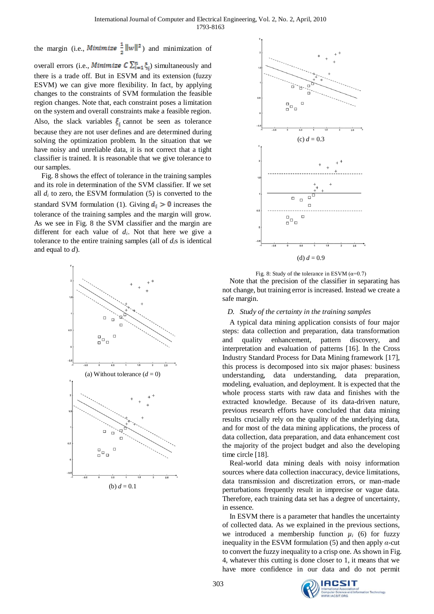the margin (i.e., *Minimize*  $\frac{1}{2} ||w||^2$ ) and minimization of

overall errors (i.e., *Minimize*  $C \sum_{i=1}^{n} \xi_i$ ) simultaneously and there is a trade off. But in ESVM and its extension (fuzzy ESVM) we can give more flexibility. In fact, by applying changes to the constraints of SVM formulation the feasible region changes. Note that, each constraint poses a limitation on the system and overall constraints make a feasible region. Also, the slack variables  $\xi_i$  cannot be seen as tolerance because they are not user defines and are determined during solving the optimization problem. In the situation that we have noisy and unreliable data, it is not correct that a tight classifier is trained. It is reasonable that we give tolerance to our samples.

Fig. 8 shows the effect of tolerance in the training samples and its role in determination of the SVM classifier. If we set all  $d_i$  to zero, the ESVM formulation (5) is converted to the standard SVM formulation (1). Giving  $\mathbf{d}_i > 0$  increases the tolerance of the training samples and the margin will grow. As we see in Fig. 8 the SVM classifier and the margin are different for each value of  $d_i$ . Not that here we give a tolerance to the entire training samples (all of  $d_i$ s is identical and equal to *d*).





Fig. 8: Study of the tolerance in ESVM ( $\alpha$ =0.7)

Note that the precision of the classifier in separating has not change, but training error is increased. Instead we create a safe margin.

#### *D. Study of the certainty in the training samples*

A typical data mining application consists of four major steps: data collection and preparation, data transformation and quality enhancement, pattern discovery, and interpretation and evaluation of patterns [16]. In the Cross Industry Standard Process for Data Mining framework [17], this process is decomposed into six major phases: business understanding, data understanding, data preparation, modeling, evaluation, and deployment. It is expected that the whole process starts with raw data and finishes with the extracted knowledge. Because of its data-driven nature, previous research efforts have concluded that data mining results crucially rely on the quality of the underlying data, and for most of the data mining applications, the process of data collection, data preparation, and data enhancement cost the majority of the project budget and also the developing time circle [18].

Real-world data mining deals with noisy information sources where data collection inaccuracy, device limitations, data transmission and discretization errors, or man-made perturbations frequently result in imprecise or vague data. Therefore, each training data set has a degree of uncertainty, in essence.

In ESVM there is a parameter that handles the uncertainty of collected data. As we explained in the previous sections, we introduced a membership function  $\mu_i$  (6) for fuzzy inequality in the ESVM formulation (5) and then apply *α*-cut to convert the fuzzy inequality to a crisp one. As shown in Fig. 4, whatever this cutting is done closer to 1, it means that we have more confidence in our data and do not permit

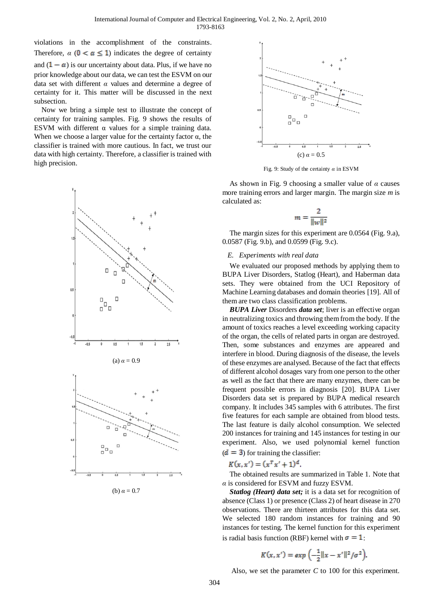violations in the accomplishment of the constraints. Therefore,  $\alpha$  ( $0 \le \alpha \le 1$ ) indicates the degree of certainty and  $(1 - \alpha)$  is our uncertainty about data. Plus, if we have no prior knowledge about our data, we can test the ESVM on our data set with different *α* values and determine a degree of certainty for it. This matter will be discussed in the next subsection.

Now we bring a simple test to illustrate the concept of certainty for training samples. Fig. 9 shows the results of ESVM with different  $\alpha$  values for a simple training data. When we choose a larger value for the certainty factor  $\alpha$ , the classifier is trained with more cautious. In fact, we trust our data with high certainty. Therefore, a classifier is trained with high precision.



(b) 
$$
\alpha = 0.7
$$



Fig. 9: Study of the certainty *α* in ESVM

As shown in Fig. 9 choosing a smaller value of *α* causes more training errors and larger margin. The margin size *m* is calculated as:

$$
m = \frac{2}{\|w\|^2}
$$

The margin sizes for this experiment are 0.0564 (Fig. 9.a), 0.0587 (Fig. 9.b), and 0.0599 (Fig. 9.c).

## *E. Experiments with real data*

We evaluated our proposed methods by applying them to BUPA Liver Disorders, Statlog (Heart), and Haberman data sets. They were obtained from the UCI Repository of Machine Learning databases and domain theories [19]. All of them are two class classification problems.

*BUPA Liver* Disorders *data set*; liver is an effective organ in neutralizing toxics and throwing them from the body. If the amount of toxics reaches a level exceeding working capacity of the organ, the cells of related parts in organ are destroyed. Then, some substances and enzymes are appeared and interfere in blood. During diagnosis of the disease, the levels of these enzymes are analysed. Because of the fact that effects of different alcohol dosages vary from one person to the other as well as the fact that there are many enzymes, there can be frequent possible errors in diagnosis [20]. BUPA Liver Disorders data set is prepared by BUPA medical research company. It includes 345 samples with 6 attributes. The first five features for each sample are obtained from blood tests. The last feature is daily alcohol consumption. We selected 200 instances for training and 145 instances for testing in our experiment. Also, we used polynomial kernel function  $(d = 3)$  for training the classifier:

$$
K(x, x') = (x^T x' + 1)^d.
$$

The obtained results are summarized in Table 1. Note that *α* is considered for ESVM and fuzzy ESVM.

*Statlog (Heart) data set;* it is a data set for recognition of absence (Class 1) or presence (Class 2) of heart disease in 270 observations. There are thirteen attributes for this data set. We selected 180 random instances for training and 90 instances for testing. The kernel function for this experiment is radial basis function (RBF) kernel with  $\sigma = 1$ :

$$
K(x, x') = exp\left(-\frac{1}{2}||x - x'||^2/\sigma^2\right).
$$

Also, we set the parameter *C* to 100 for this experiment.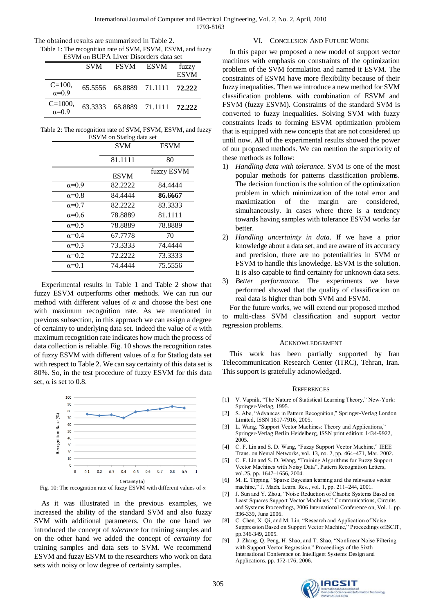Table 1: The recognition rate of SVM, FSVM, ESVM, and fuzzy ESVM on BUPA Liver Disorders data set

|                                | <b>SVM</b> | FSVM ESVM |                                | fuzzy<br><b>ESVM</b> |
|--------------------------------|------------|-----------|--------------------------------|----------------------|
| $C = 100$ .<br>$\alpha = 0.9$  |            |           | 65.5556 68.8889 71.1111 72.222 |                      |
| $C = 1000$ ,<br>$\alpha = 0.9$ |            |           | 63.3333 68.8889 71.1111 72.222 |                      |

Table 2: The recognition rate of SVM, FSVM, ESVM, and fuzzy ESVM on Statlog data set

|                | <b>SVM</b>  | <b>FSVM</b> |
|----------------|-------------|-------------|
|                | 81.1111     | 80          |
|                | <b>ESVM</b> | fuzzy ESVM  |
| $\alpha=0.9$   | 82.2222     | 84.4444     |
| $\alpha=0.8$   | 84.4444     | 86.6667     |
| $\alpha = 0.7$ | 82.2222     | 83.3333     |
| $\alpha=0.6$   | 78.8889     | 81.1111     |
| $\alpha=0.5$   | 78.8889     | 78.8889     |
| $\alpha=0.4$   | 67.7778     | 70          |
| $\alpha=0.3$   | 73.3333     | 74.4444     |
| $\alpha=0.2$   | 72.2222     | 73.3333     |
| $\alpha=0.1$   | 74.4444     | 75.5556     |

Experimental results in Table 1 and Table 2 show that fuzzy ESVM outperforms other methods. We can run our method with different values of *α* and choose the best one with maximum recognition rate. As we mentioned in previous subsection, in this approach we can assign a degree of certainty to underlying data set. Indeed the value of *α* with maximum recognition rate indicates how much the process of data collection is reliable. Fig. 10 shows the recognition rates of fuzzy ESVM with different values of *α* for Statlog data set with respect to Table 2. We can say certainty of this data set is 80%. So, in the test procedure of fuzzy ESVM for this data set,  $\alpha$  is set to 0.8.



Fig. 10: The recognition rate of fuzzy ESVM with different values of *α*

As it was illustrated in the previous examples, we increased the ability of the standard SVM and also fuzzy SVM with additional parameters. On the one hand we introduced the concept of *tolerance* for training samples and on the other hand we added the concept of *certainty* for training samples and data sets to SVM. We recommend ESVM and fuzzy ESVM to the researchers who work on data sets with noisy or low degree of certainty samples.

# VI. CONCLUSION AND FUTURE WORK

In this paper we proposed a new model of support vector machines with emphasis on constraints of the optimization problem of the SVM formulation and named it ESVM. The constraints of ESVM have more flexibility because of their fuzzy inequalities. Then we introduce a new method for SVM classification problems with combination of ESVM and FSVM (fuzzy ESVM). Constraints of the standard SVM is converted to fuzzy inequalities. Solving SVM with fuzzy constraints leads to forming ESVM optimization problem that is equipped with new concepts that are not considered up until now. All of the experimental results showed the power of our proposed methods. We can mention the superiority of these methods as follow:

- 1) *Handling data with tolerance.* SVM is one of the most popular methods for patterns classification problems. The decision function is the solution of the optimization problem in which minimization of the total error and maximization of the margin are considered, simultaneously. In cases where there is a tendency towards having samples with tolerance ESVM works far better.
- 2) *Handling uncertainty in data*. If we have a prior knowledge about a data set, and are aware of its accuracy and precision, there are no potentialities in SVM or FSVM to handle this knowledge. ESVM is the solution. It is also capable to find certainty for unknown data sets.
- 3) *Better performance.* The experiments we have performed showed that the quality of classification on real data is higher than both SVM and FSVM.

For the future works, we will extend our proposed method to multi-class SVM classification and support vector regression problems.

## ACKNOWLEDGEMENT

This work has been partially supported by Iran Telecommunication Research Center (ITRC), Tehran, Iran. This support is gratefully acknowledged.

## **REFERENCES**

- [1] V. Vapnik, "The Nature of Statistical Learning Theory," New-York: Springer-Verlag, 1995.
- [2] S. Abe, "Advances in Pattern Recognition," Springer-Verlag London Limited, ISSN 1617-7916, 2005.
- [3] L. Wang, "Support Vector Machines: Theory and Applications," Springer-Verlag Berlin Heidelberg, ISSN print edition: 1434-9922, 2005.
- [4] C. F. Lin and S. D. Wang, "Fuzzy Support Vector Machine," IEEE Trans. on Neural Networks, vol. 13, no. 2, pp. 464–471, Mar. 2002.
- [5] C. F. Lin and S. D. Wang, "Training Algorithms for Fuzzy Support Vector Machines with Noisy Data", Pattern Recognition Letters, vol.25, pp. 1647–1656, 2004.
- [6] M. E. Tipping, "Sparse Bayesian learning and the relevance vector machine," J. Mach. Learn. Res., vol. 1, pp. 211-244, 2001.
- [7] J. Sun and Y. Zhou, "Noise Reduction of Chaotic Systems Based on Least Squares Support Vector Machines," Communications, Circuits [and Systems Proceedings, 2006 International Conference on,](http://ieeexplore.ieee.org/xpl/RecentCon.jsp?punumber=4063797) Vol. 1, pp. 336-339, June 2006.
- [8] C. Chen, X. Qi, and M. Lin, "Research and Application of Noise Suppression Based on Support Vector Machine," Proceedings ofISCIT, pp.346-349, 2005.
- [9] J. Zhang, Q. Peng, H. Shao, and T. Shao, "Nonlinear Noise Filtering with Support Vector Regression," Proceedings of the Sixth International Conference on Intelligent Systems Design and Applications, pp. 172-176, 2006.